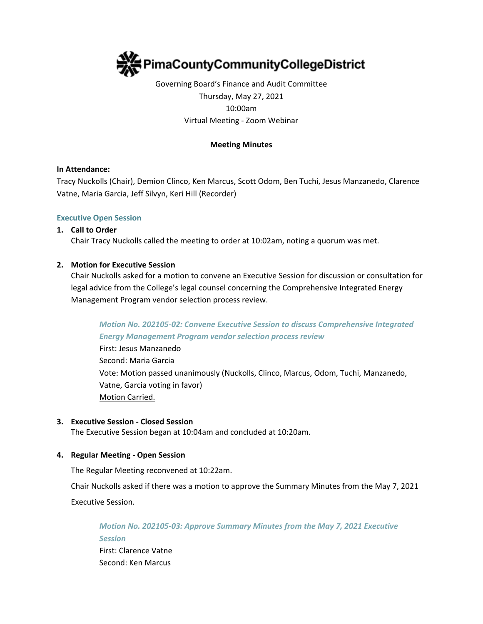

# Governing Board's Finance and Audit Committee Thursday, May 27, 2021 10:00am Virtual Meeting - Zoom Webinar

## **Meeting Minutes**

## **In Attendance:**

Tracy Nuckolls (Chair), Demion Clinco, Ken Marcus, Scott Odom, Ben Tuchi, Jesus Manzanedo, Clarence Vatne, Maria Garcia, Jeff Silvyn, Keri Hill (Recorder)

### **Executive Open Session**

### **1. Call to Order**

Chair Tracy Nuckolls called the meeting to order at 10:02am, noting a quorum was met.

### **2. Motion for Executive Session**

Chair Nuckolls asked for a motion to convene an Executive Session for discussion or consultation for legal advice from the College's legal counsel concerning the Comprehensive Integrated Energy Management Program vendor selection process review.

## *Motion No. 202105-02: Convene Executive Session to discuss Comprehensive Integrated Energy Management Program vendor selection process review*

First: Jesus Manzanedo Second: Maria Garcia Vote: Motion passed unanimously (Nuckolls, Clinco, Marcus, Odom, Tuchi, Manzanedo, Vatne, Garcia voting in favor) Motion Carried.

#### **3. Executive Session - Closed Session**

The Executive Session began at 10:04am and concluded at 10:20am.

## **4. Regular Meeting - Open Session**

The Regular Meeting reconvened at 10:22am.

Chair Nuckolls asked if there was a motion to approve the Summary Minutes from the May 7, 2021 Executive Session.

*Motion No. 202105-03: Approve Summary Minutes from the May 7, 2021 Executive Session* First: Clarence Vatne Second: Ken Marcus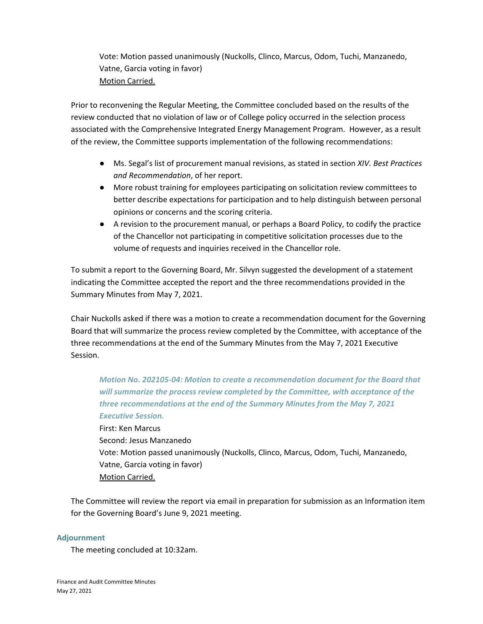Vote: Motion passed unanimously (Nuckolls, Clinco, Marcus, Odom, Tuchi, Manzanedo, Vatne, Garcia voting in favor) Motion Carried.

Prior to reconvening the Regular Meeting, the Committee concluded based on the results of the review conducted that no violation of law or of College policy occurred in the selection process associated with the Comprehensive Integrated Energy Management Program. However, as a result of the review, the Committee supports implementation of the following recommendations:

- Ms. Segal's list of procurement manual revisions, as stated in section *XIV. Best Practices and Recommendation*, of her report.
- More robust training for employees participating on solicitation review committees to better describe expectations for participation and to help distinguish between personal opinions or concerns and the scoring criteria.
- A revision to the procurement manual, or perhaps a Board Policy, to codify the practice of the Chancellor not participating in competitive solicitation processes due to the volume of requests and inquiries received in the Chancellor role.

To submit a report to the Governing Board, Mr. Silvyn suggested the development of a statement indicating the Committee accepted the report and the three recommendations provided in the Summary Minutes from May 7, 2021.

Chair Nuckolls asked if there was a motion to create a recommendation document for the Governing Board that will summarize the process review completed by the Committee, with acceptance of the three recommendations at the end of the Summary Minutes from the May 7, 2021 Executive Session.

*Motion No. 202105-04: Motion to create a recommendation document for the Board that will summarize the process review completed by the Committee, with acceptance of the three recommendations at the end of the Summary Minutes from the May 7, 2021 Executive Session.*

First: Ken Marcus Second: Jesus Manzanedo Vote: Motion passed unanimously (Nuckolls, Clinco, Marcus, Odom, Tuchi, Manzanedo, Vatne, Garcia voting in favor) Motion Carried.

The Committee will review the report via email in preparation for submission as an Information item for the Governing Board's June 9, 2021 meeting.

## **Adjournment**

The meeting concluded at 10:32am.